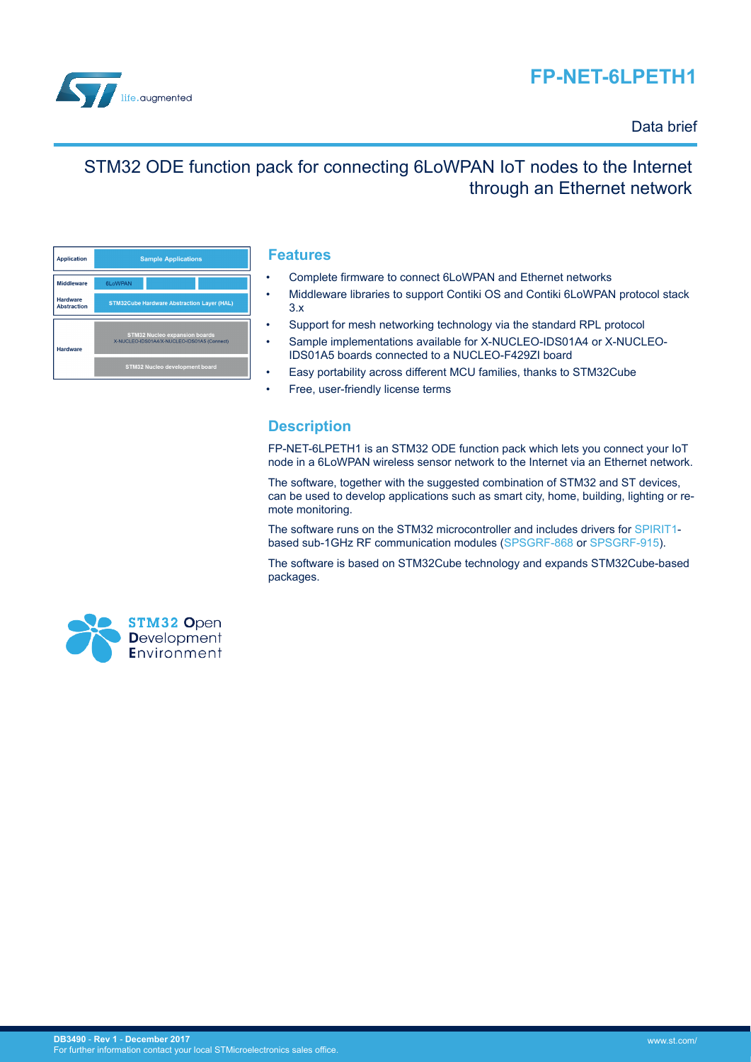# **FP-NET-6LPETH1**



### Data brief

## STM32 ODE function pack for connecting 6LoWPAN IoT nodes to the Internet through an Ethernet network

| <b>Application</b>                    | <b>Sample Applications</b>                                                          |  |  |
|---------------------------------------|-------------------------------------------------------------------------------------|--|--|
| <b>Middleware</b>                     | 6LoWPAN                                                                             |  |  |
| <b>Hardware</b><br><b>Abstraction</b> | <b>STM32Cube Hardware Abstraction Layer (HAL)</b>                                   |  |  |
| <b>Hardware</b>                       | <b>STM32 Nucleo expansion boards</b><br>X-NUCLEO-IDS01A4/X-NUCLEO-IDS01A5 (Connect) |  |  |
|                                       | STM32 Nucleo development board                                                      |  |  |

### **Features**

- Complete firmware to connect 6LoWPAN and Ethernet networks
- Middleware libraries to support Contiki OS and Contiki 6LoWPAN protocol stack 3.x
- Support for mesh networking technology via the standard RPL protocol
- Sample implementations available for X-NUCLEO-IDS01A4 or X-NUCLEO-IDS01A5 boards connected to a NUCLEO-F429ZI board
- Easy portability across different MCU families, thanks to STM32Cube
- Free, user-friendly license terms

## **Description**

FP-NET-6LPETH1 is an STM32 ODE function pack which lets you connect your IoT node in a 6LoWPAN wireless sensor network to the Internet via an Ethernet network.

The software, together with the suggested combination of STM32 and ST devices, can be used to develop applications such as smart city, home, building, lighting or remote monitoring.

The software runs on the STM32 microcontroller and includes drivers for [SPIRIT1](http://www.st.com/en/product/spirit1) based sub-1GHz RF communication modules ([SPSGRF-868](http://www.st.com/en/product/spsgrf) or [SPSGRF-915\)](http://www.st.com/en/product/spsgrf).

The software is based on STM32Cube technology and expands STM32Cube-based packages.

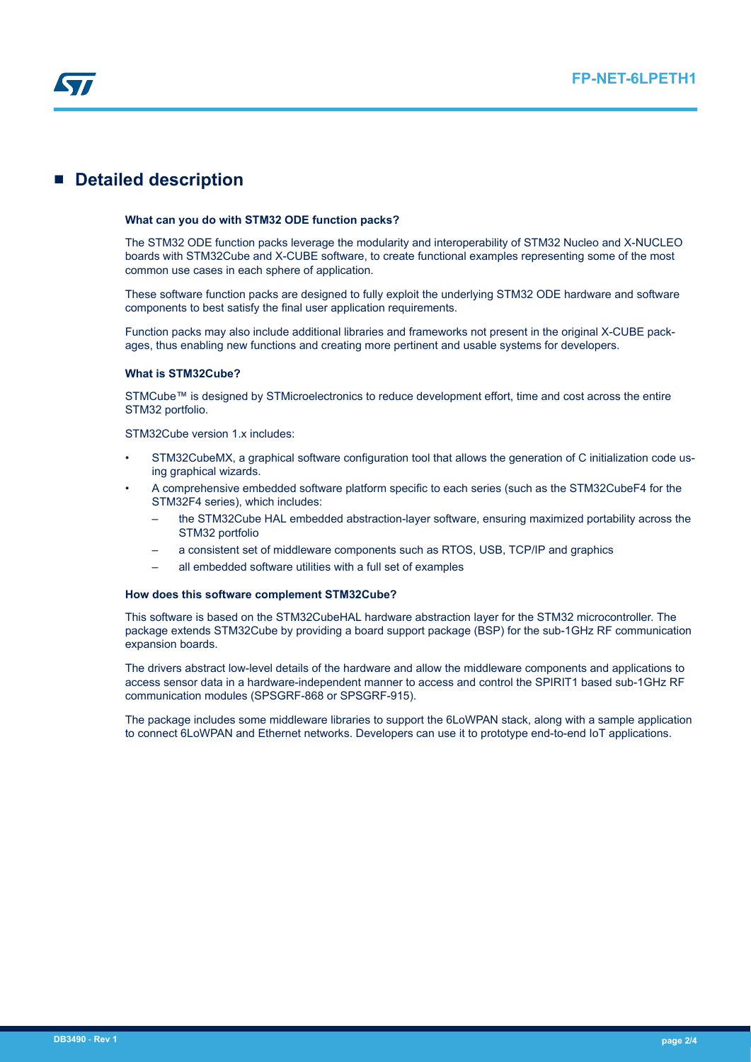

## **Detailed description**

#### **What can you do with STM32 ODE function packs?**

The STM32 ODE function packs leverage the modularity and interoperability of STM32 Nucleo and X-NUCLEO boards with STM32Cube and X-CUBE software, to create functional examples representing some of the most common use cases in each sphere of application.

These software function packs are designed to fully exploit the underlying STM32 ODE hardware and software components to best satisfy the final user application requirements.

Function packs may also include additional libraries and frameworks not present in the original X-CUBE packages, thus enabling new functions and creating more pertinent and usable systems for developers.

#### **What is STM32Cube?**

STMCube™ is designed by STMicroelectronics to reduce development effort, time and cost across the entire STM32 portfolio.

STM32Cube version 1.x includes:

- STM32CubeMX, a graphical software configuration tool that allows the generation of C initialization code using graphical wizards.
- A comprehensive embedded software platform specific to each series (such as the STM32CubeF4 for the STM32F4 series), which includes:
	- the STM32Cube HAL embedded abstraction-layer software, ensuring maximized portability across the STM32 portfolio
	- a consistent set of middleware components such as RTOS, USB, TCP/IP and graphics
	- all embedded software utilities with a full set of examples

#### **How does this software complement STM32Cube?**

This software is based on the STM32CubeHAL hardware abstraction layer for the STM32 microcontroller. The package extends STM32Cube by providing a board support package (BSP) for the sub-1GHz RF communication expansion boards.

The drivers abstract low-level details of the hardware and allow the middleware components and applications to access sensor data in a hardware-independent manner to access and control the SPIRIT1 based sub-1GHz RF communication modules (SPSGRF-868 or SPSGRF-915).

The package includes some middleware libraries to support the 6LoWPAN stack, along with a sample application to connect 6LoWPAN and Ethernet networks. Developers can use it to prototype end-to-end IoT applications.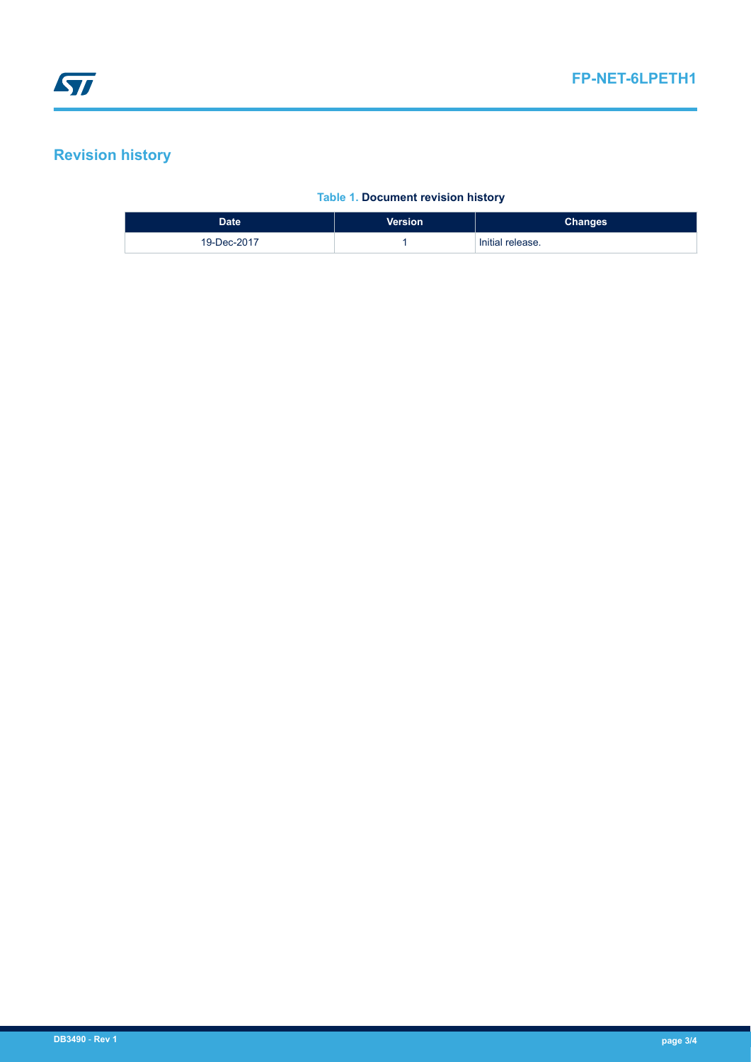## **Revision history**

### **Table 1. Document revision history**

| <b>Date</b> | <b>Version</b> | <b>Changes</b>   |
|-------------|----------------|------------------|
| 19-Dec-2017 |                | Initial release. |